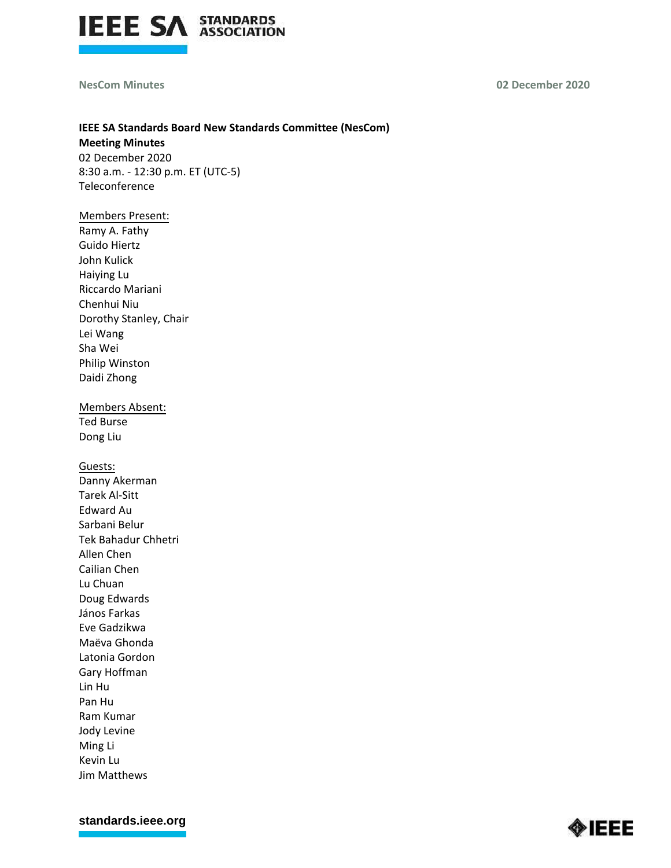

**NesCom Minutes 02 December 2020**

# **IEEE SA Standards Board New Standards Committee (NesCom)**

**Meeting Minutes** 02 December 2020 8:30 a.m. - 12:30 p.m. ET (UTC-5) Teleconference

#### Members Present:

Ramy A. Fathy Guido Hiertz John Kulick Haiying Lu Riccardo Mariani Chenhui Niu Dorothy Stanley, Chair Lei Wang Sha Wei Philip Winston Daidi Zhong

Members Absent: Ted Burse

Dong Liu

Guests:

Danny Akerman Tarek Al-Sitt Edward Au Sarbani Belur Tek Bahadur Chhetri Allen Chen Cailian Chen Lu Chuan Doug Edwards János Farkas Eve Gadzikwa Maëva Ghonda Latonia Gordon Gary Hoffman Lin Hu Pan Hu Ram Kumar Jody Levine Ming Li Kevin Lu Jim Matthews

**[standards.ieee.org](http://standards.ieee.org/)**

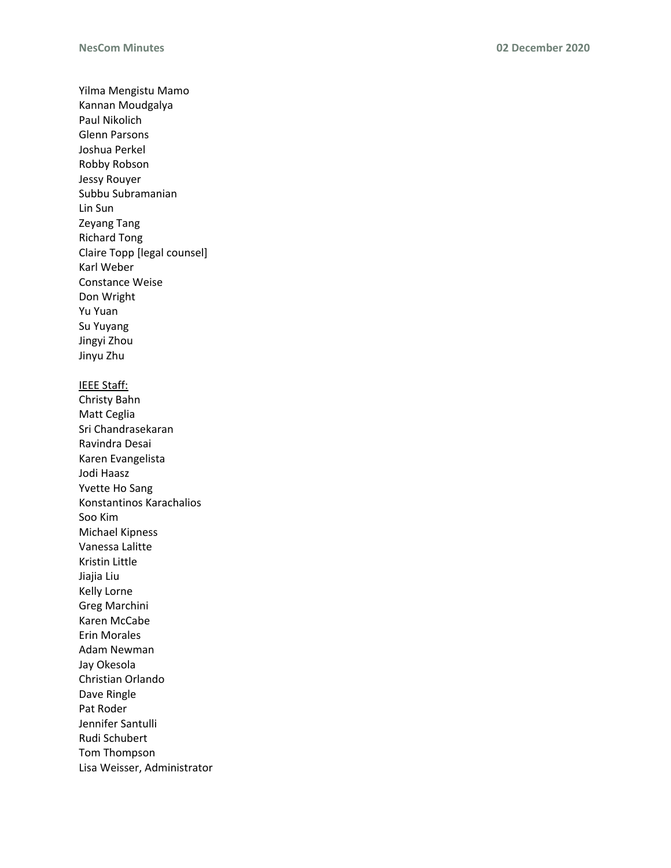Yilma Mengistu Mamo Kannan Moudgalya Paul Nikolich Glenn Parsons Joshua Perkel Robby Robson Jessy Rouyer Subbu Subramanian Lin Sun Zeyang Tang Richard Tong Claire Topp [legal counsel] Karl Weber Constance Weise Don Wright Yu Yuan Su Yuyang Jingyi Zhou Jinyu Zhu IEEE Staff: Christy Bahn Matt Ceglia Sri Chandrasekaran Ravindra Desai Karen Evangelista Jodi Haasz Yvette Ho Sang Konstantinos Karachalios Soo Kim Michael Kipness Vanessa Lalitte Kristin Little Jiajia Liu Kelly Lorne Greg Marchini Karen McCabe Erin Morales Adam Newman Jay Okesola Christian Orlando Dave Ringle Pat Roder Jennifer Santulli Rudi Schubert Tom Thompson Lisa Weisser, Administrator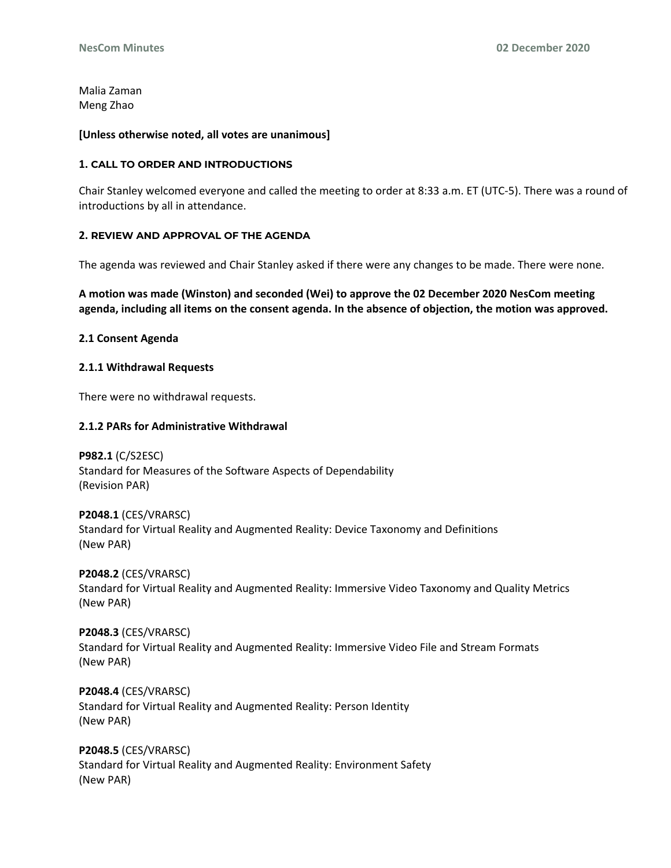Malia Zaman Meng Zhao

#### **[Unless otherwise noted, all votes are unanimous]**

#### **1. CALL TO ORDER AND INTRODUCTIONS**

Chair Stanley welcomed everyone and called the meeting to order at 8:33 a.m. ET (UTC-5). There was a round of introductions by all in attendance.

# **2. REVIEW AND APPROVAL OF THE AGENDA**

The agenda was reviewed and Chair Stanley asked if there were any changes to be made. There were none.

**A motion was made (Winston) and seconded (Wei) to approve the 02 December 2020 NesCom meeting agenda, including all items on the consent agenda. In the absence of objection, the motion was approved.**

#### **2.1 Consent Agenda**

#### **2.1.1 Withdrawal Requests**

There were no withdrawal requests.

#### **2.1.2 PARs for Administrative Withdrawal**

**P982.1** (C/S2ESC) Standard for Measures of the Software Aspects of Dependability (Revision PAR)

**P2048.1** (CES/VRARSC) Standard for Virtual Reality and Augmented Reality: Device Taxonomy and Definitions (New PAR)

**P2048.2** (CES/VRARSC) Standard for Virtual Reality and Augmented Reality: Immersive Video Taxonomy and Quality Metrics (New PAR)

**P2048.3** (CES/VRARSC) Standard for Virtual Reality and Augmented Reality: Immersive Video File and Stream Formats (New PAR)

**P2048.4** (CES/VRARSC) Standard for Virtual Reality and Augmented Reality: Person Identity (New PAR)

**P2048.5** (CES/VRARSC) Standard for Virtual Reality and Augmented Reality: Environment Safety (New PAR)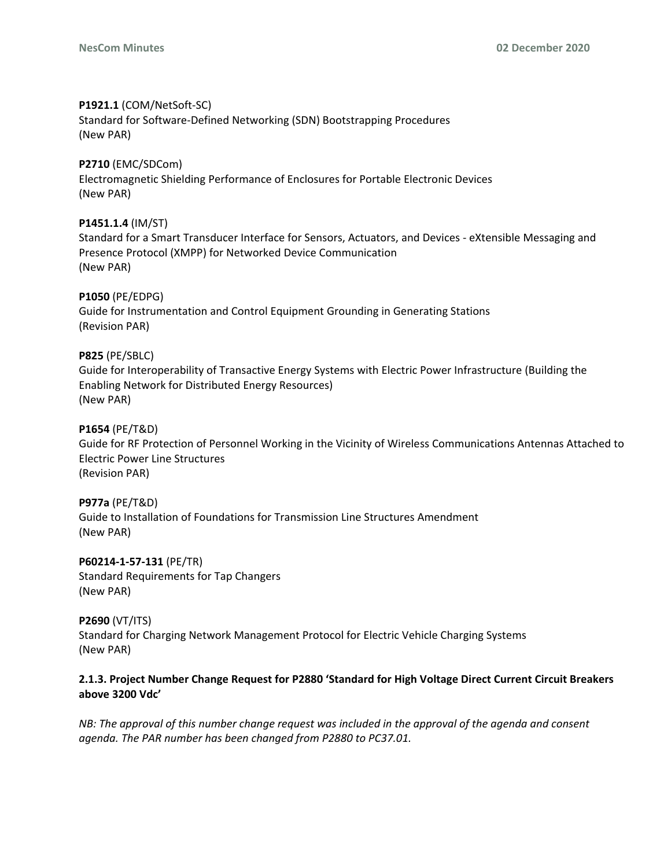# **P1921.1** (COM/NetSoft-SC)

Standard for Software-Defined Networking (SDN) Bootstrapping Procedures (New PAR)

# **P2710** (EMC/SDCom)

Electromagnetic Shielding Performance of Enclosures for Portable Electronic Devices (New PAR)

# **P1451.1.4** (IM/ST)

Standard for a Smart Transducer Interface for Sensors, Actuators, and Devices - eXtensible Messaging and Presence Protocol (XMPP) for Networked Device Communication (New PAR)

# **P1050** (PE/EDPG)

Guide for Instrumentation and Control Equipment Grounding in Generating Stations (Revision PAR)

# **P825** (PE/SBLC)

Guide for Interoperability of Transactive Energy Systems with Electric Power Infrastructure (Building the Enabling Network for Distributed Energy Resources) (New PAR)

# **P1654** (PE/T&D)

Guide for RF Protection of Personnel Working in the Vicinity of Wireless Communications Antennas Attached to Electric Power Line Structures (Revision PAR)

#### **P977a** (PE/T&D)

Guide to Installation of Foundations for Transmission Line Structures Amendment (New PAR)

**P60214-1-57-131** (PE/TR) Standard Requirements for Tap Changers (New PAR)

## **P2690** (VT/ITS)

Standard for Charging Network Management Protocol for Electric Vehicle Charging Systems (New PAR)

# **2.1.3. Project Number Change Request for P2880 'Standard for High Voltage Direct Current Circuit Breakers above 3200 Vdc'**

*NB: The approval of this number change request was included in the approval of the agenda and consent agenda. The PAR number has been changed from P2880 to PC37.01.*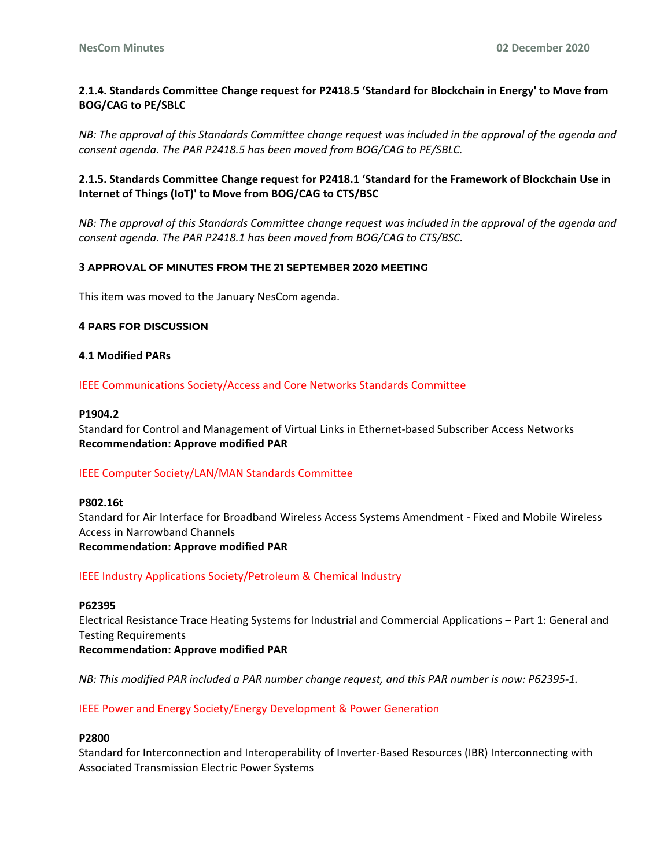# **2.1.4. Standards Committee Change request for P2418.5 'Standard for Blockchain in Energy' to Move from BOG/CAG to PE/SBLC**

*NB: The approval of this Standards Committee change request was included in the approval of the agenda and consent agenda. The PAR P2418.5 has been moved from BOG/CAG to PE/SBLC.*

# **2.1.5. Standards Committee Change request for P2418.1 'Standard for the Framework of Blockchain Use in Internet of Things (IoT)' to Move from BOG/CAG to CTS/BSC**

*NB: The approval of this Standards Committee change request was included in the approval of the agenda and consent agenda. The PAR P2418.1 has been moved from BOG/CAG to CTS/BSC.*

#### **3 APPROVAL OF MINUTES FROM THE 21 SEPTEMBER 2020 MEETING**

This item was moved to the January NesCom agenda.

#### **4 PARS FOR DISCUSSION**

#### **4.1 Modified PARs**

#### IEEE Communications Society/Access and Core Networks Standards Committee

#### **P1904.2**

Standard for Control and Management of Virtual Links in Ethernet-based Subscriber Access Networks **Recommendation: Approve modified PAR**

#### IEEE Computer Society/LAN/MAN Standards Committee

**P802.16t** Standard for Air Interface for Broadband Wireless Access Systems Amendment - Fixed and Mobile Wireless Access in Narrowband Channels **Recommendation: Approve modified PAR**

IEEE Industry Applications Society/Petroleum & Chemical Industry

#### **P62395**

Electrical Resistance Trace Heating Systems for Industrial and Commercial Applications – Part 1: General and Testing Requirements **Recommendation: Approve modified PAR**

*NB: This modified PAR included a PAR number change request, and this PAR number is now: P62395-1.*

#### IEEE Power and Energy Society/Energy Development & Power Generation

#### **P2800**

Standard for Interconnection and Interoperability of Inverter-Based Resources (IBR) Interconnecting with Associated Transmission Electric Power Systems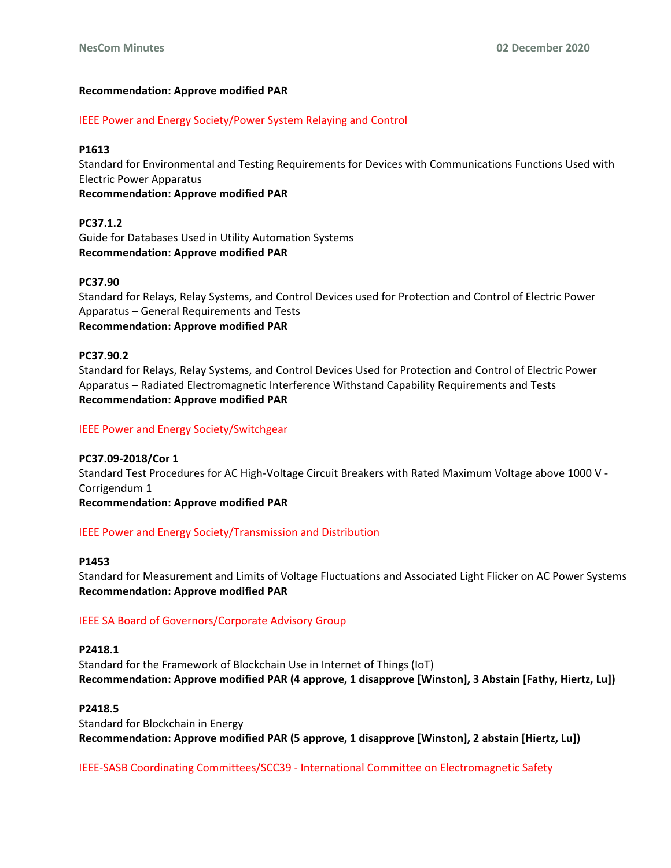# **Recommendation: Approve modified PAR**

IEEE Power and Energy Society/Power System Relaying and Control

## **P1613**

Standard for Environmental and Testing Requirements for Devices with Communications Functions Used with Electric Power Apparatus

**Recommendation: Approve modified PAR**

**PC37.1.2** Guide for Databases Used in Utility Automation Systems **Recommendation: Approve modified PAR**

# **PC37.90**

Standard for Relays, Relay Systems, and Control Devices used for Protection and Control of Electric Power Apparatus – General Requirements and Tests **Recommendation: Approve modified PAR**

# **PC37.90.2**

Standard for Relays, Relay Systems, and Control Devices Used for Protection and Control of Electric Power Apparatus – Radiated Electromagnetic Interference Withstand Capability Requirements and Tests **Recommendation: Approve modified PAR**

## IEEE Power and Energy Society/Switchgear

**PC37.09-2018/Cor 1** Standard Test Procedures for AC High-Voltage Circuit Breakers with Rated Maximum Voltage above 1000 V - Corrigendum 1 **Recommendation: Approve modified PAR**

#### IEEE Power and Energy Society/Transmission and Distribution

#### **P1453**

Standard for Measurement and Limits of Voltage Fluctuations and Associated Light Flicker on AC Power Systems **Recommendation: Approve modified PAR**

# IEEE SA Board of Governors/Corporate Advisory Group

#### **P2418.1**

Standard for the Framework of Blockchain Use in Internet of Things (IoT) **Recommendation: Approve modified PAR (4 approve, 1 disapprove [Winston], 3 Abstain [Fathy, Hiertz, Lu])**

#### **P2418.5**

Standard for Blockchain in Energy **Recommendation: Approve modified PAR (5 approve, 1 disapprove [Winston], 2 abstain [Hiertz, Lu])**

IEEE-SASB Coordinating Committees/SCC39 - International Committee on Electromagnetic Safety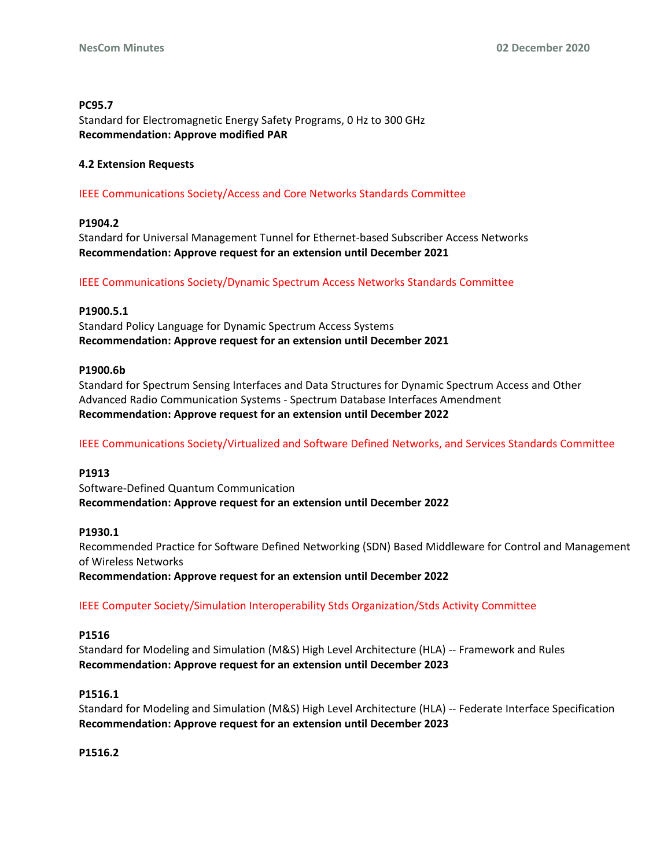## **PC95.7**

Standard for Electromagnetic Energy Safety Programs, 0 Hz to 300 GHz **Recommendation: Approve modified PAR**

# **4.2 Extension Requests**

# IEEE Communications Society/Access and Core Networks Standards Committee

# **P1904.2**

Standard for Universal Management Tunnel for Ethernet-based Subscriber Access Networks **Recommendation: Approve request for an extension until December 2021**

# IEEE Communications Society/Dynamic Spectrum Access Networks Standards Committee

# **P1900.5.1**

Standard Policy Language for Dynamic Spectrum Access Systems **Recommendation: Approve request for an extension until December 2021**

# **P1900.6b**

Standard for Spectrum Sensing Interfaces and Data Structures for Dynamic Spectrum Access and Other Advanced Radio Communication Systems - Spectrum Database Interfaces Amendment **Recommendation: Approve request for an extension until December 2022**

IEEE Communications Society/Virtualized and Software Defined Networks, and Services Standards Committee

# **P1913**

Software-Defined Quantum Communication **Recommendation: Approve request for an extension until December 2022**

#### **P1930.1**

Recommended Practice for Software Defined Networking (SDN) Based Middleware for Control and Management of Wireless Networks

**Recommendation: Approve request for an extension until December 2022**

IEEE Computer Society/Simulation Interoperability Stds Organization/Stds Activity Committee

#### **P1516**

Standard for Modeling and Simulation (M&S) High Level Architecture (HLA) -- Framework and Rules **Recommendation: Approve request for an extension until December 2023**

#### **P1516.1**

Standard for Modeling and Simulation (M&S) High Level Architecture (HLA) -- Federate Interface Specification **Recommendation: Approve request for an extension until December 2023**

**P1516.2**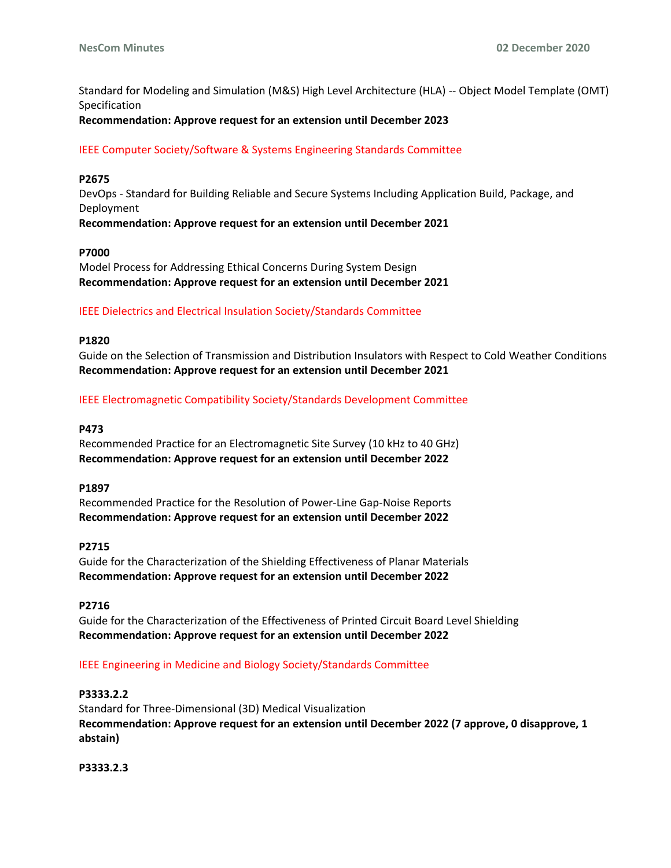Standard for Modeling and Simulation (M&S) High Level Architecture (HLA) -- Object Model Template (OMT) Specification

# **Recommendation: Approve request for an extension until December 2023**

# IEEE Computer Society/Software & Systems Engineering Standards Committee

# **P2675**

DevOps - Standard for Building Reliable and Secure Systems Including Application Build, Package, and Deployment

**Recommendation: Approve request for an extension until December 2021**

#### **P7000**

Model Process for Addressing Ethical Concerns During System Design **Recommendation: Approve request for an extension until December 2021**

#### IEEE Dielectrics and Electrical Insulation Society/Standards Committee

#### **P1820**

Guide on the Selection of Transmission and Distribution Insulators with Respect to Cold Weather Conditions **Recommendation: Approve request for an extension until December 2021**

#### IEEE Electromagnetic Compatibility Society/Standards Development Committee

#### **P473**

Recommended Practice for an Electromagnetic Site Survey (10 kHz to 40 GHz) **Recommendation: Approve request for an extension until December 2022**

#### **P1897**

Recommended Practice for the Resolution of Power-Line Gap-Noise Reports **Recommendation: Approve request for an extension until December 2022**

#### **P2715**

Guide for the Characterization of the Shielding Effectiveness of Planar Materials **Recommendation: Approve request for an extension until December 2022**

#### **P2716**

Guide for the Characterization of the Effectiveness of Printed Circuit Board Level Shielding **Recommendation: Approve request for an extension until December 2022**

#### IEEE Engineering in Medicine and Biology Society/Standards Committee

## **P3333.2.2**

Standard for Three-Dimensional (3D) Medical Visualization **Recommendation: Approve request for an extension until December 2022 (7 approve, 0 disapprove, 1 abstain)**

**P3333.2.3**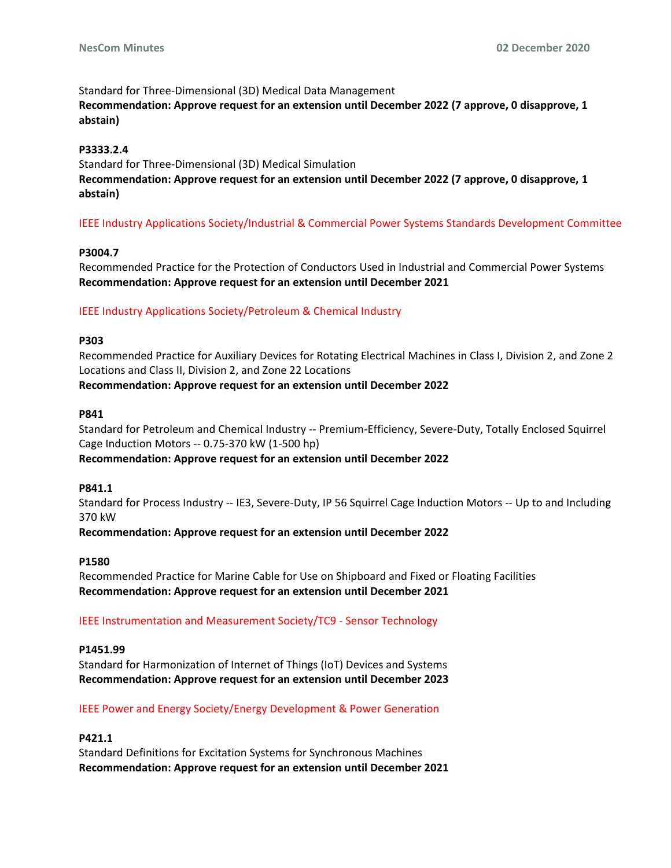Standard for Three-Dimensional (3D) Medical Data Management **Recommendation: Approve request for an extension until December 2022 (7 approve, 0 disapprove, 1 abstain)**

# **P3333.2.4**

Standard for Three-Dimensional (3D) Medical Simulation **Recommendation: Approve request for an extension until December 2022 (7 approve, 0 disapprove, 1 abstain)**

IEEE Industry Applications Society/Industrial & Commercial Power Systems Standards Development Committee

# **P3004.7**

Recommended Practice for the Protection of Conductors Used in Industrial and Commercial Power Systems **Recommendation: Approve request for an extension until December 2021**

# IEEE Industry Applications Society/Petroleum & Chemical Industry

# **P303**

Recommended Practice for Auxiliary Devices for Rotating Electrical Machines in Class I, Division 2, and Zone 2 Locations and Class II, Division 2, and Zone 22 Locations **Recommendation: Approve request for an extension until December 2022**

#### **P841**

Standard for Petroleum and Chemical Industry -- Premium-Efficiency, Severe-Duty, Totally Enclosed Squirrel Cage Induction Motors -- 0.75-370 kW (1-500 hp)

#### **Recommendation: Approve request for an extension until December 2022**

#### **P841.1**

Standard for Process Industry -- IE3, Severe-Duty, IP 56 Squirrel Cage Induction Motors -- Up to and Including 370 kW

#### **Recommendation: Approve request for an extension until December 2022**

#### **P1580**

Recommended Practice for Marine Cable for Use on Shipboard and Fixed or Floating Facilities **Recommendation: Approve request for an extension until December 2021**

# IEEE Instrumentation and Measurement Society/TC9 - Sensor Technology

#### **P1451.99**

Standard for Harmonization of Internet of Things (IoT) Devices and Systems **Recommendation: Approve request for an extension until December 2023**

# IEEE Power and Energy Society/Energy Development & Power Generation

#### **P421.1**

Standard Definitions for Excitation Systems for Synchronous Machines **Recommendation: Approve request for an extension until December 2021**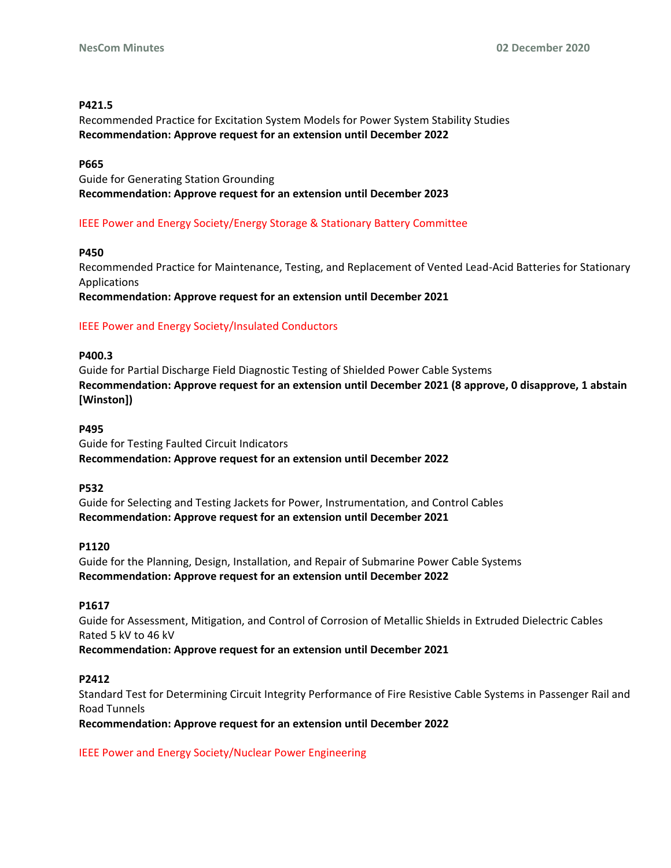## **P421.5**

Recommended Practice for Excitation System Models for Power System Stability Studies **Recommendation: Approve request for an extension until December 2022**

## **P665**

Guide for Generating Station Grounding **Recommendation: Approve request for an extension until December 2023**

# IEEE Power and Energy Society/Energy Storage & Stationary Battery Committee

# **P450**

Recommended Practice for Maintenance, Testing, and Replacement of Vented Lead-Acid Batteries for Stationary Applications

**Recommendation: Approve request for an extension until December 2021**

# IEEE Power and Energy Society/Insulated Conductors

#### **P400.3**

Guide for Partial Discharge Field Diagnostic Testing of Shielded Power Cable Systems **Recommendation: Approve request for an extension until December 2021 (8 approve, 0 disapprove, 1 abstain [Winston])**

#### **P495**

Guide for Testing Faulted Circuit Indicators **Recommendation: Approve request for an extension until December 2022**

#### **P532**

Guide for Selecting and Testing Jackets for Power, Instrumentation, and Control Cables **Recommendation: Approve request for an extension until December 2021**

#### **P1120**

Guide for the Planning, Design, Installation, and Repair of Submarine Power Cable Systems **Recommendation: Approve request for an extension until December 2022**

## **P1617**

Guide for Assessment, Mitigation, and Control of Corrosion of Metallic Shields in Extruded Dielectric Cables Rated 5 kV to 46 kV **Recommendation: Approve request for an extension until December 2021**

#### **P2412**

Standard Test for Determining Circuit Integrity Performance of Fire Resistive Cable Systems in Passenger Rail and Road Tunnels

**Recommendation: Approve request for an extension until December 2022**

IEEE Power and Energy Society/Nuclear Power Engineering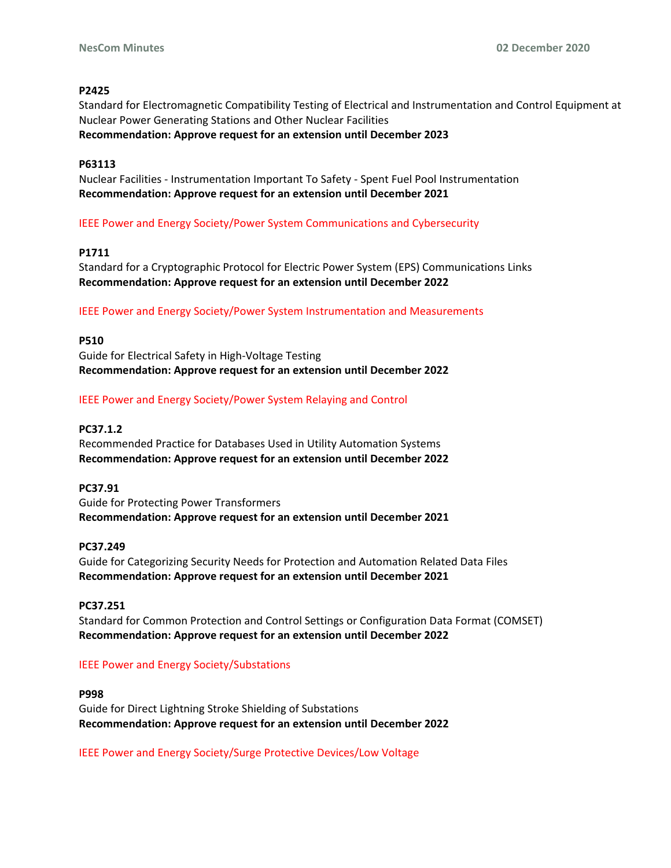#### **P2425**

Standard for Electromagnetic Compatibility Testing of Electrical and Instrumentation and Control Equipment at Nuclear Power Generating Stations and Other Nuclear Facilities **Recommendation: Approve request for an extension until December 2023**

#### **P63113**

Nuclear Facilities - Instrumentation Important To Safety - Spent Fuel Pool Instrumentation **Recommendation: Approve request for an extension until December 2021**

# IEEE Power and Energy Society/Power System Communications and Cybersecurity

# **P1711**

Standard for a Cryptographic Protocol for Electric Power System (EPS) Communications Links **Recommendation: Approve request for an extension until December 2022**

#### IEEE Power and Energy Society/Power System Instrumentation and Measurements

#### **P510**

Guide for Electrical Safety in High-Voltage Testing **Recommendation: Approve request for an extension until December 2022**

#### IEEE Power and Energy Society/Power System Relaying and Control

### **PC37.1.2**

Recommended Practice for Databases Used in Utility Automation Systems **Recommendation: Approve request for an extension until December 2022**

#### **PC37.91**

Guide for Protecting Power Transformers **Recommendation: Approve request for an extension until December 2021**

#### **PC37.249**

Guide for Categorizing Security Needs for Protection and Automation Related Data Files **Recommendation: Approve request for an extension until December 2021**

#### **PC37.251**

Standard for Common Protection and Control Settings or Configuration Data Format (COMSET) **Recommendation: Approve request for an extension until December 2022**

#### IEEE Power and Energy Society/Substations

#### **P998**

Guide for Direct Lightning Stroke Shielding of Substations **Recommendation: Approve request for an extension until December 2022**

IEEE Power and Energy Society/Surge Protective Devices/Low Voltage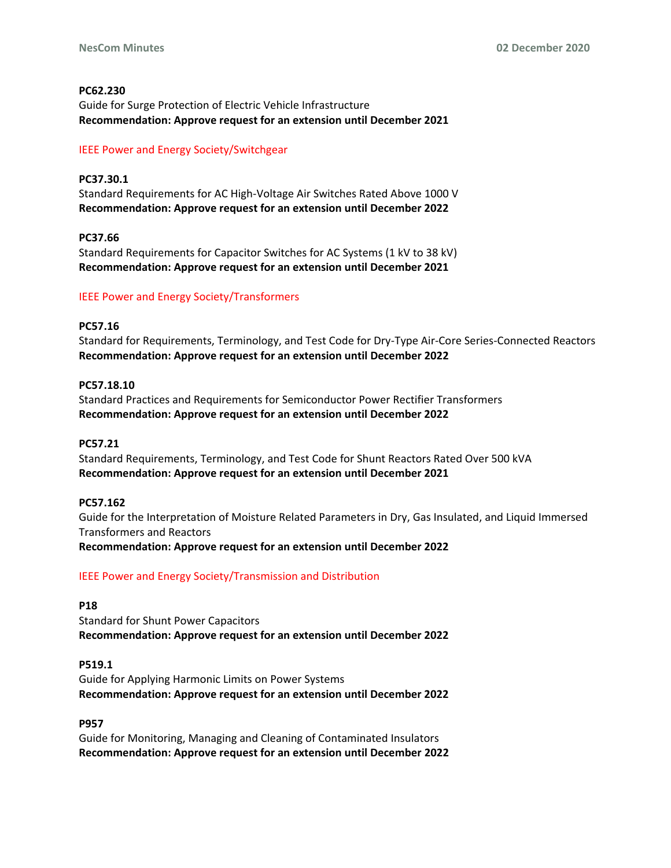## **PC62.230**

Guide for Surge Protection of Electric Vehicle Infrastructure **Recommendation: Approve request for an extension until December 2021**

## IEEE Power and Energy Society/Switchgear

**PC37.30.1** Standard Requirements for AC High-Voltage Air Switches Rated Above 1000 V **Recommendation: Approve request for an extension until December 2022**

# **PC37.66**

Standard Requirements for Capacitor Switches for AC Systems (1 kV to 38 kV) **Recommendation: Approve request for an extension until December 2021**

# IEEE Power and Energy Society/Transformers

#### **PC57.16**

Standard for Requirements, Terminology, and Test Code for Dry-Type Air-Core Series-Connected Reactors **Recommendation: Approve request for an extension until December 2022**

# **PC57.18.10**

Standard Practices and Requirements for Semiconductor Power Rectifier Transformers **Recommendation: Approve request for an extension until December 2022**

## **PC57.21**

Standard Requirements, Terminology, and Test Code for Shunt Reactors Rated Over 500 kVA **Recommendation: Approve request for an extension until December 2021**

#### **PC57.162**

Guide for the Interpretation of Moisture Related Parameters in Dry, Gas Insulated, and Liquid Immersed Transformers and Reactors **Recommendation: Approve request for an extension until December 2022**

#### IEEE Power and Energy Society/Transmission and Distribution

#### **P18**

Standard for Shunt Power Capacitors **Recommendation: Approve request for an extension until December 2022**

#### **P519.1**

Guide for Applying Harmonic Limits on Power Systems **Recommendation: Approve request for an extension until December 2022**

#### **P957**

Guide for Monitoring, Managing and Cleaning of Contaminated Insulators **Recommendation: Approve request for an extension until December 2022**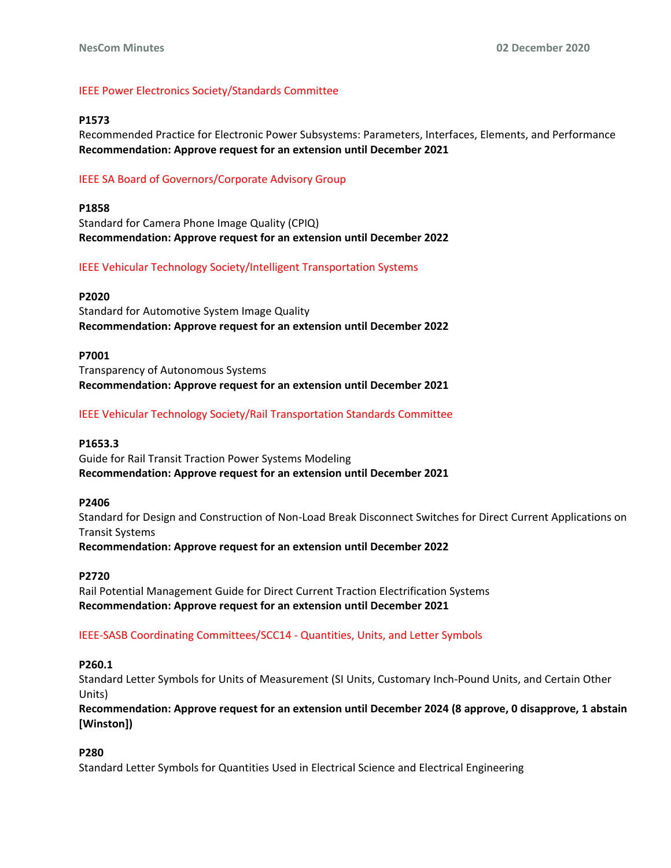## IEEE Power Electronics Society/Standards Committee

#### **P1573**

Recommended Practice for Electronic Power Subsystems: Parameters, Interfaces, Elements, and Performance **Recommendation: Approve request for an extension until December 2021**

## IEEE SA Board of Governors/Corporate Advisory Group

## **P1858**

Standard for Camera Phone Image Quality (CPIQ) **Recommendation: Approve request for an extension until December 2022**

# IEEE Vehicular Technology Society/Intelligent Transportation Systems

#### **P2020**

Standard for Automotive System Image Quality **Recommendation: Approve request for an extension until December 2022**

#### **P7001**

Transparency of Autonomous Systems **Recommendation: Approve request for an extension until December 2021**

# IEEE Vehicular Technology Society/Rail Transportation Standards Committee

## **P1653.3**

Guide for Rail Transit Traction Power Systems Modeling **Recommendation: Approve request for an extension until December 2021**

#### **P2406**

Standard for Design and Construction of Non-Load Break Disconnect Switches for Direct Current Applications on Transit Systems

**Recommendation: Approve request for an extension until December 2022**

#### **P2720**

Rail Potential Management Guide for Direct Current Traction Electrification Systems **Recommendation: Approve request for an extension until December 2021**

#### IEEE-SASB Coordinating Committees/SCC14 - Quantities, Units, and Letter Symbols

#### **P260.1**

Standard Letter Symbols for Units of Measurement (SI Units, Customary Inch-Pound Units, and Certain Other Units)

**Recommendation: Approve request for an extension until December 2024 (8 approve, 0 disapprove, 1 abstain [Winston])**

#### **P280**

Standard Letter Symbols for Quantities Used in Electrical Science and Electrical Engineering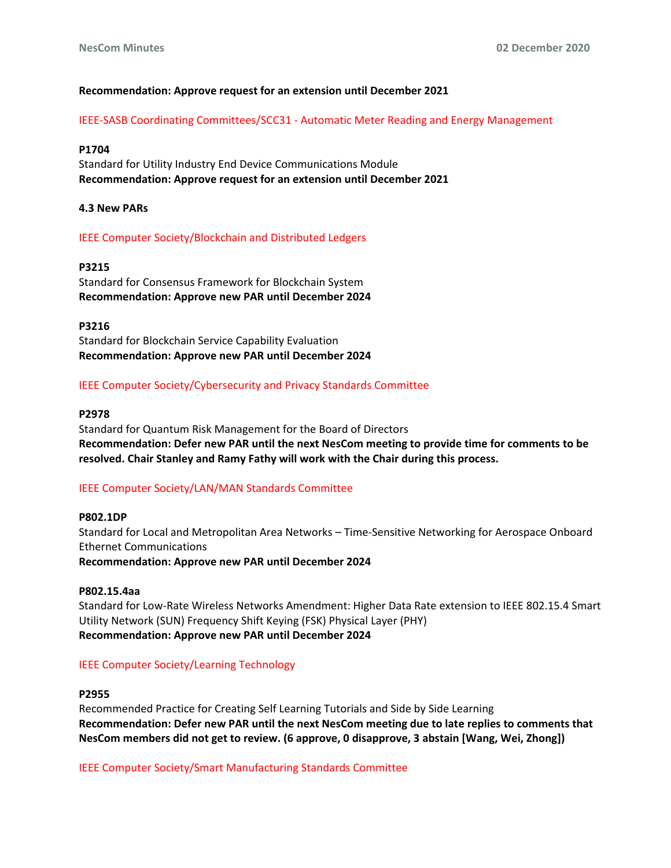## **Recommendation: Approve request for an extension until December 2021**

IEEE-SASB Coordinating Committees/SCC31 - Automatic Meter Reading and Energy Management

#### **P1704**

Standard for Utility Industry End Device Communications Module **Recommendation: Approve request for an extension until December 2021**

#### **4.3 New PARs**

#### IEEE Computer Society/Blockchain and Distributed Ledgers

#### **P3215**

Standard for Consensus Framework for Blockchain System **Recommendation: Approve new PAR until December 2024**

#### **P3216**

Standard for Blockchain Service Capability Evaluation **Recommendation: Approve new PAR until December 2024**

#### IEEE Computer Society/Cybersecurity and Privacy Standards Committee

#### **P2978**

Standard for Quantum Risk Management for the Board of Directors **Recommendation: Defer new PAR until the next NesCom meeting to provide time for comments to be resolved. Chair Stanley and Ramy Fathy will work with the Chair during this process.**

#### IEEE Computer Society/LAN/MAN Standards Committee

#### **P802.1DP**

Standard for Local and Metropolitan Area Networks – Time-Sensitive Networking for Aerospace Onboard Ethernet Communications **Recommendation: Approve new PAR until December 2024**

#### **P802.15.4aa**

Standard for Low-Rate Wireless Networks Amendment: Higher Data Rate extension to IEEE 802.15.4 Smart Utility Network (SUN) Frequency Shift Keying (FSK) Physical Layer (PHY) **Recommendation: Approve new PAR until December 2024**

#### IEEE Computer Society/Learning Technology

#### **P2955**

Recommended Practice for Creating Self Learning Tutorials and Side by Side Learning **Recommendation: Defer new PAR until the next NesCom meeting due to late replies to comments that NesCom members did not get to review. (6 approve, 0 disapprove, 3 abstain [Wang, Wei, Zhong])**

IEEE Computer Society/Smart Manufacturing Standards Committee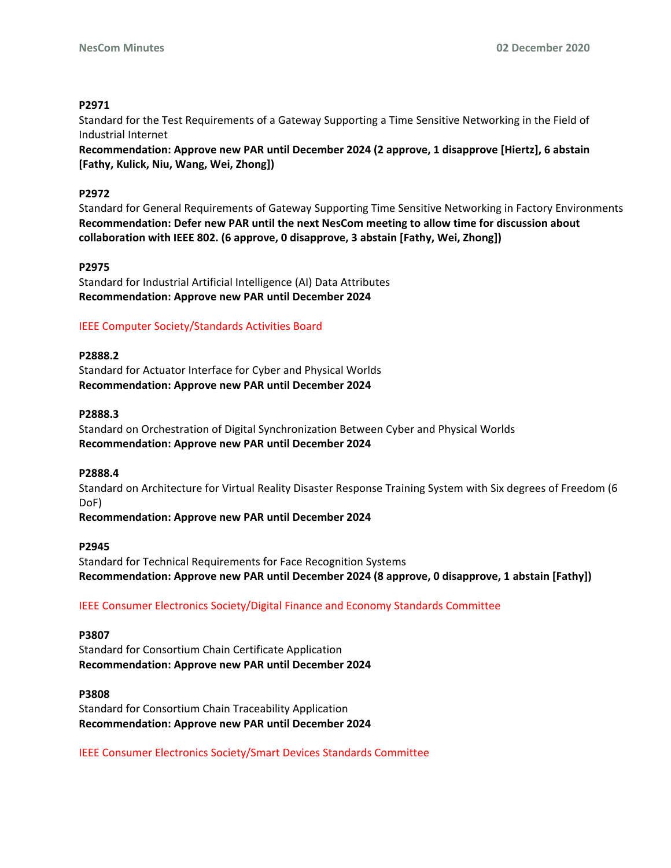## **P2971**

Standard for the Test Requirements of a Gateway Supporting a Time Sensitive Networking in the Field of Industrial Internet

**Recommendation: Approve new PAR until December 2024 (2 approve, 1 disapprove [Hiertz], 6 abstain [Fathy, Kulick, Niu, Wang, Wei, Zhong])**

#### **P2972**

Standard for General Requirements of Gateway Supporting Time Sensitive Networking in Factory Environments **Recommendation: Defer new PAR until the next NesCom meeting to allow time for discussion about collaboration with IEEE 802. (6 approve, 0 disapprove, 3 abstain [Fathy, Wei, Zhong])**

#### **P2975**

Standard for Industrial Artificial Intelligence (AI) Data Attributes **Recommendation: Approve new PAR until December 2024**

#### IEEE Computer Society/Standards Activities Board

#### **P2888.2**

Standard for Actuator Interface for Cyber and Physical Worlds **Recommendation: Approve new PAR until December 2024**

#### **P2888.3**

Standard on Orchestration of Digital Synchronization Between Cyber and Physical Worlds **Recommendation: Approve new PAR until December 2024**

#### **P2888.4**

Standard on Architecture for Virtual Reality Disaster Response Training System with Six degrees of Freedom (6 DoF)

**Recommendation: Approve new PAR until December 2024**

#### **P2945**

Standard for Technical Requirements for Face Recognition Systems **Recommendation: Approve new PAR until December 2024 (8 approve, 0 disapprove, 1 abstain [Fathy])**

#### IEEE Consumer Electronics Society/Digital Finance and Economy Standards Committee

#### **P3807**

Standard for Consortium Chain Certificate Application **Recommendation: Approve new PAR until December 2024**

#### **P3808**

Standard for Consortium Chain Traceability Application **Recommendation: Approve new PAR until December 2024**

IEEE Consumer Electronics Society/Smart Devices Standards Committee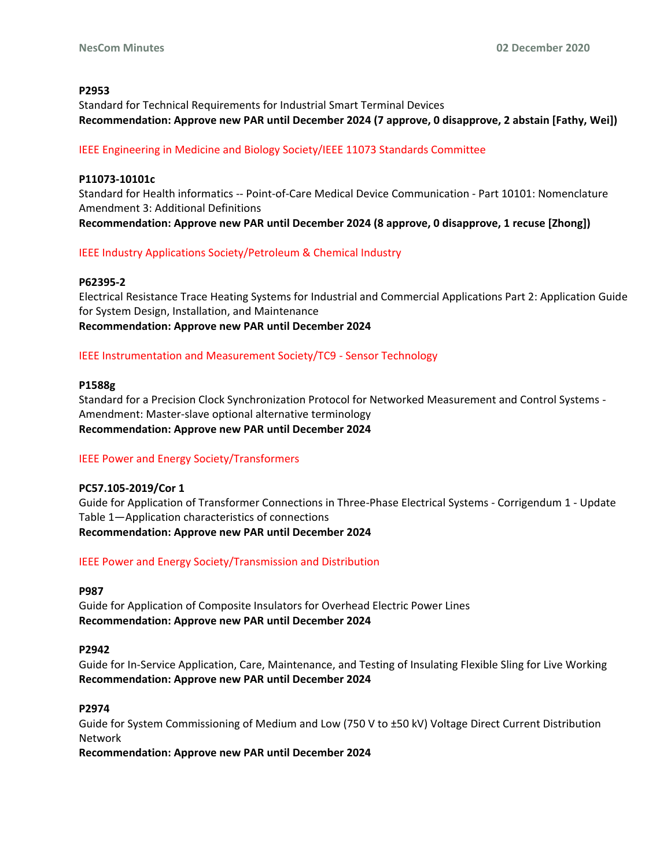# **P2953**

Standard for Technical Requirements for Industrial Smart Terminal Devices **Recommendation: Approve new PAR until December 2024 (7 approve, 0 disapprove, 2 abstain [Fathy, Wei])**

# IEEE Engineering in Medicine and Biology Society/IEEE 11073 Standards Committee

## **P11073-10101c**

Standard for Health informatics -- Point-of-Care Medical Device Communication - Part 10101: Nomenclature Amendment 3: Additional Definitions **Recommendation: Approve new PAR until December 2024 (8 approve, 0 disapprove, 1 recuse [Zhong])**

# IEEE Industry Applications Society/Petroleum & Chemical Industry

#### **P62395-2**

Electrical Resistance Trace Heating Systems for Industrial and Commercial Applications Part 2: Application Guide for System Design, Installation, and Maintenance **Recommendation: Approve new PAR until December 2024**

# IEEE Instrumentation and Measurement Society/TC9 - Sensor Technology

#### **P1588g**

Standard for a Precision Clock Synchronization Protocol for Networked Measurement and Control Systems - Amendment: Master-slave optional alternative terminology **Recommendation: Approve new PAR until December 2024**

# IEEE Power and Energy Society/Transformers

#### **PC57.105-2019/Cor 1**

Guide for Application of Transformer Connections in Three-Phase Electrical Systems - Corrigendum 1 - Update Table 1—Application characteristics of connections **Recommendation: Approve new PAR until December 2024**

#### IEEE Power and Energy Society/Transmission and Distribution

#### **P987**

Guide for Application of Composite Insulators for Overhead Electric Power Lines **Recommendation: Approve new PAR until December 2024**

#### **P2942**

Guide for In-Service Application, Care, Maintenance, and Testing of Insulating Flexible Sling for Live Working **Recommendation: Approve new PAR until December 2024**

#### **P2974**

Guide for System Commissioning of Medium and Low (750 V to ±50 kV) Voltage Direct Current Distribution Network

**Recommendation: Approve new PAR until December 2024**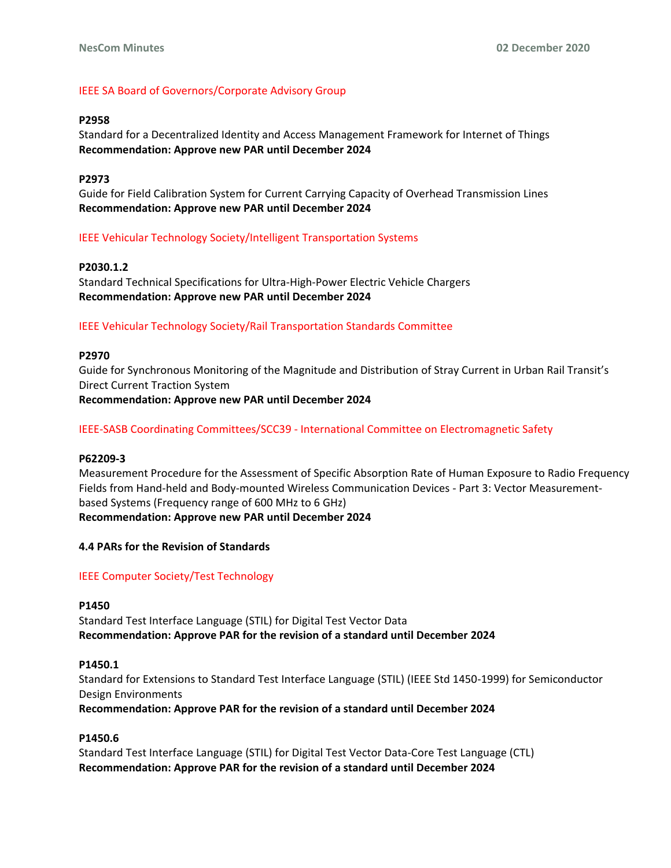# IEEE SA Board of Governors/Corporate Advisory Group

## **P2958**

Standard for a Decentralized Identity and Access Management Framework for Internet of Things **Recommendation: Approve new PAR until December 2024**

#### **P2973**

Guide for Field Calibration System for Current Carrying Capacity of Overhead Transmission Lines **Recommendation: Approve new PAR until December 2024**

#### IEEE Vehicular Technology Society/Intelligent Transportation Systems

# **P2030.1.2**

Standard Technical Specifications for Ultra-High-Power Electric Vehicle Chargers **Recommendation: Approve new PAR until December 2024**

#### IEEE Vehicular Technology Society/Rail Transportation Standards Committee

#### **P2970**

Guide for Synchronous Monitoring of the Magnitude and Distribution of Stray Current in Urban Rail Transit's Direct Current Traction System **Recommendation: Approve new PAR until December 2024**

# IEEE-SASB Coordinating Committees/SCC39 - International Committee on Electromagnetic Safety

#### **P62209-3**

Measurement Procedure for the Assessment of Specific Absorption Rate of Human Exposure to Radio Frequency Fields from Hand-held and Body-mounted Wireless Communication Devices - Part 3: Vector Measurementbased Systems (Frequency range of 600 MHz to 6 GHz) **Recommendation: Approve new PAR until December 2024**

#### **4.4 PARs for the Revision of Standards**

#### IEEE Computer Society/Test Technology

#### **P1450**

Standard Test Interface Language (STIL) for Digital Test Vector Data **Recommendation: Approve PAR for the revision of a standard until December 2024**

#### **P1450.1**

Standard for Extensions to Standard Test Interface Language (STIL) (IEEE Std 1450-1999) for Semiconductor Design Environments

**Recommendation: Approve PAR for the revision of a standard until December 2024**

#### **P1450.6**

Standard Test Interface Language (STIL) for Digital Test Vector Data-Core Test Language (CTL) **Recommendation: Approve PAR for the revision of a standard until December 2024**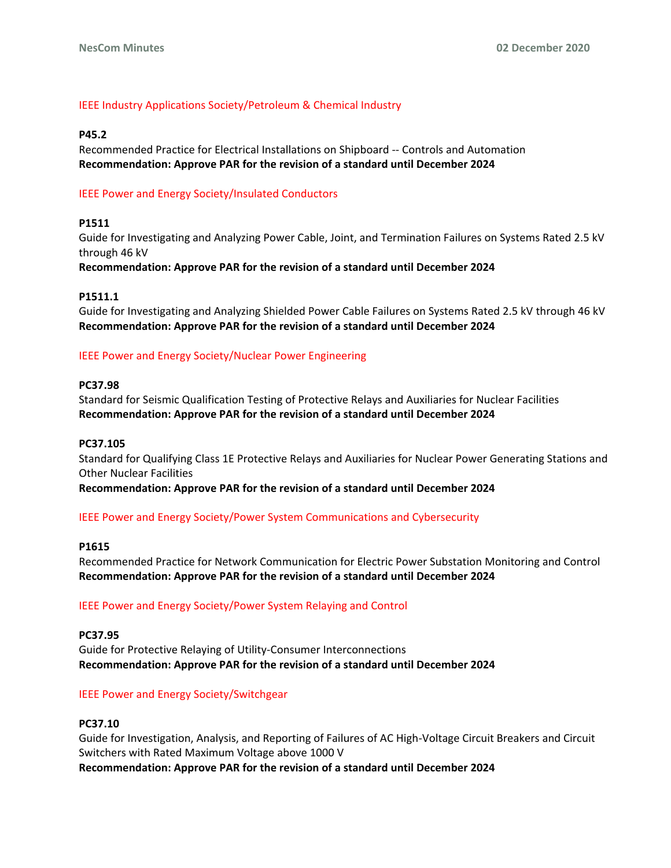# IEEE Industry Applications Society/Petroleum & Chemical Industry

## **P45.2**

Recommended Practice for Electrical Installations on Shipboard -- Controls and Automation **Recommendation: Approve PAR for the revision of a standard until December 2024**

# IEEE Power and Energy Society/Insulated Conductors

# **P1511**

Guide for Investigating and Analyzing Power Cable, Joint, and Termination Failures on Systems Rated 2.5 kV through 46 kV

**Recommendation: Approve PAR for the revision of a standard until December 2024**

#### **P1511.1**

Guide for Investigating and Analyzing Shielded Power Cable Failures on Systems Rated 2.5 kV through 46 kV **Recommendation: Approve PAR for the revision of a standard until December 2024**

# IEEE Power and Energy Society/Nuclear Power Engineering

#### **PC37.98**

Standard for Seismic Qualification Testing of Protective Relays and Auxiliaries for Nuclear Facilities **Recommendation: Approve PAR for the revision of a standard until December 2024**

## **PC37.105**

Standard for Qualifying Class 1E Protective Relays and Auxiliaries for Nuclear Power Generating Stations and Other Nuclear Facilities

**Recommendation: Approve PAR for the revision of a standard until December 2024**

#### IEEE Power and Energy Society/Power System Communications and Cybersecurity

#### **P1615**

Recommended Practice for Network Communication for Electric Power Substation Monitoring and Control **Recommendation: Approve PAR for the revision of a standard until December 2024**

#### IEEE Power and Energy Society/Power System Relaying and Control

#### **PC37.95**

Guide for Protective Relaying of Utility-Consumer Interconnections **Recommendation: Approve PAR for the revision of a standard until December 2024**

#### IEEE Power and Energy Society/Switchgear

#### **PC37.10**

Guide for Investigation, Analysis, and Reporting of Failures of AC High-Voltage Circuit Breakers and Circuit Switchers with Rated Maximum Voltage above 1000 V **Recommendation: Approve PAR for the revision of a standard until December 2024**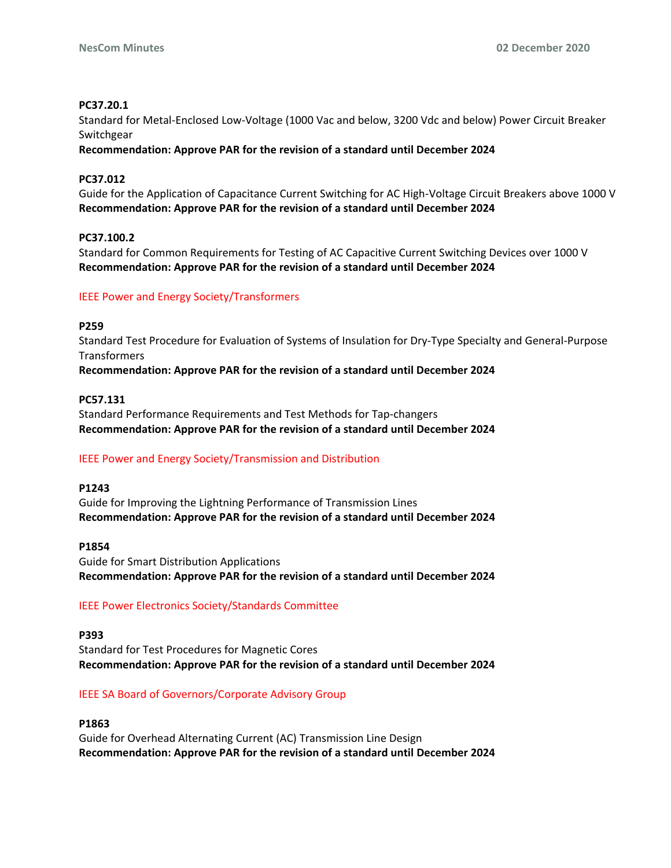# **PC37.20.1**

Standard for Metal-Enclosed Low-Voltage (1000 Vac and below, 3200 Vdc and below) Power Circuit Breaker Switchgear

**Recommendation: Approve PAR for the revision of a standard until December 2024**

# **PC37.012**

Guide for the Application of Capacitance Current Switching for AC High-Voltage Circuit Breakers above 1000 V **Recommendation: Approve PAR for the revision of a standard until December 2024**

# **PC37.100.2**

Standard for Common Requirements for Testing of AC Capacitive Current Switching Devices over 1000 V **Recommendation: Approve PAR for the revision of a standard until December 2024**

# IEEE Power and Energy Society/Transformers

# **P259**

Standard Test Procedure for Evaluation of Systems of Insulation for Dry-Type Specialty and General-Purpose **Transformers** 

**Recommendation: Approve PAR for the revision of a standard until December 2024**

# **PC57.131**

Standard Performance Requirements and Test Methods for Tap-changers **Recommendation: Approve PAR for the revision of a standard until December 2024**

# IEEE Power and Energy Society/Transmission and Distribution

#### **P1243**

Guide for Improving the Lightning Performance of Transmission Lines **Recommendation: Approve PAR for the revision of a standard until December 2024**

#### **P1854**

Guide for Smart Distribution Applications **Recommendation: Approve PAR for the revision of a standard until December 2024**

# IEEE Power Electronics Society/Standards Committee

#### **P393**

Standard for Test Procedures for Magnetic Cores **Recommendation: Approve PAR for the revision of a standard until December 2024**

# IEEE SA Board of Governors/Corporate Advisory Group

#### **P1863**

Guide for Overhead Alternating Current (AC) Transmission Line Design **Recommendation: Approve PAR for the revision of a standard until December 2024**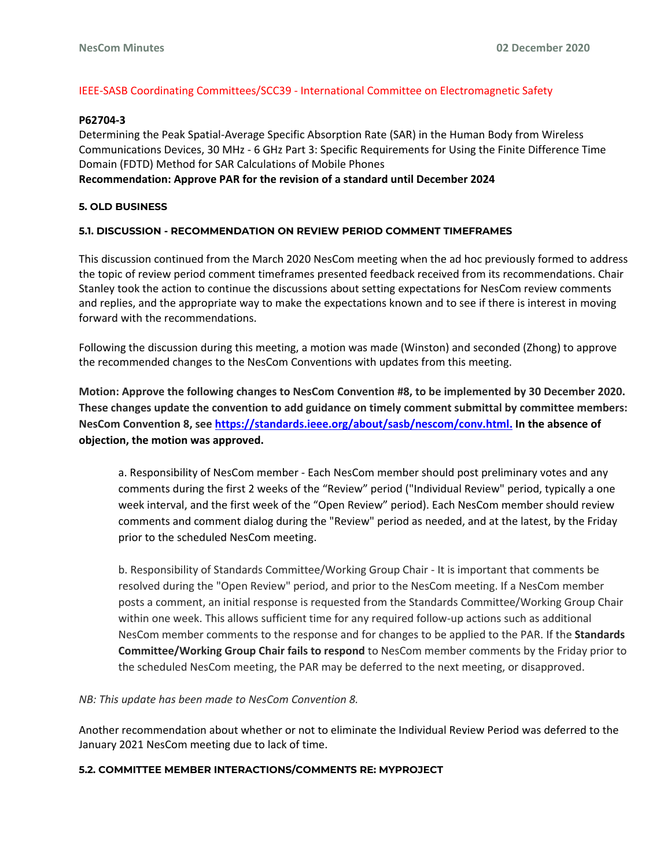# IEEE-SASB Coordinating Committees/SCC39 - International Committee on Electromagnetic Safety

#### **P62704-3**

Determining the Peak Spatial-Average Specific Absorption Rate (SAR) in the Human Body from Wireless Communications Devices, 30 MHz - 6 GHz Part 3: Specific Requirements for Using the Finite Difference Time Domain (FDTD) Method for SAR Calculations of Mobile Phones

## **Recommendation: Approve PAR for the revision of a standard until December 2024**

#### **5. OLD BUSINESS**

#### **5.1. DISCUSSION - RECOMMENDATION ON REVIEW PERIOD COMMENT TIMEFRAMES**

This discussion continued from the March 2020 NesCom meeting when the ad hoc previously formed to address the topic of review period comment timeframes presented feedback received from its recommendations. Chair Stanley took the action to continue the discussions about setting expectations for NesCom review comments and replies, and the appropriate way to make the expectations known and to see if there is interest in moving forward with the recommendations.

Following the discussion during this meeting, a motion was made (Winston) and seconded (Zhong) to approve the recommended changes to the NesCom Conventions with updates from this meeting.

**Motion: Approve the following changes to NesCom Convention #8, to be implemented by 30 December 2020. These changes update the convention to add guidance on timely comment submittal by committee members: NesCom Convention 8, see [https://standards.ieee.org/about/sasb/nescom/conv.html.](https://standards.ieee.org/about/sasb/nescom/conv.html) In the absence of objection, the motion was approved.**

a. Responsibility of NesCom member - Each NesCom member should post preliminary votes and any comments during the first 2 weeks of the "Review" period ("Individual Review" period, typically a one week interval, and the first week of the "Open Review" period). Each NesCom member should review comments and comment dialog during the "Review" period as needed, and at the latest, by the Friday prior to the scheduled NesCom meeting.

b. Responsibility of Standards Committee/Working Group Chair - It is important that comments be resolved during the "Open Review" period, and prior to the NesCom meeting. If a NesCom member posts a comment, an initial response is requested from the Standards Committee/Working Group Chair within one week. This allows sufficient time for any required follow-up actions such as additional NesCom member comments to the response and for changes to be applied to the PAR. If the **Standards Committee/Working Group Chair fails to respond** to NesCom member comments by the Friday prior to the scheduled NesCom meeting, the PAR may be deferred to the next meeting, or disapproved.

*NB: This update has been made to NesCom Convention 8.*

Another recommendation about whether or not to eliminate the Individual Review Period was deferred to the January 2021 NesCom meeting due to lack of time.

#### **5.2. COMMITTEE MEMBER INTERACTIONS/COMMENTS RE: MYPROJECT**